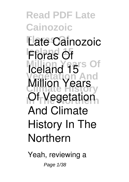#### **Read PDF Late Cainozoic Floras Of Late Cainozoic Floras Of Million Years Of Vegetation And Climate History** *Of Vegetation* **Iceland 15 Million Years And Climate History In The Northern**

Yeah, reviewing a

Page 1/38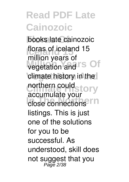**Floras Of** books **late cainozoic floras of iceland 15 wegetation and I'S Of** climate history in the northern could story close connections<sup>PIN</sup> **million years of** accumulate your listings. This is just one of the solutions for you to be successful. As understood, skill does not suggest that you Page 2/38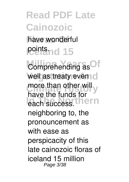#### have wonderful **Points** nd 15

Comprehending as Of well as treaty even o more than other will y *<u>Phase</u>* Indicess.thern have the funds for neighboring to, the pronouncement as with ease as perspicacity of this late cainozoic floras of iceland 15 million Page 3/38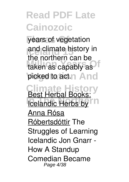years of vegetation and climate history in taken as capably as picked to act.n And the northern can be

**Climate History Icelandic Herbs by** <u>Best Herbal Books:</u> Anna Rósa Róbertsdóttir The Struggles of Learning Icelandic *Jon Gnarr - How A Standup Comedian Became* Page 4/38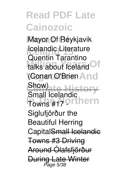**Floras Of** *Mayor Of Reykjavik* **Icelandic Literature** talks about Iceland<sup>Of</sup> (Conan O'Brien And **Climate History Towns #17 orthern** Quentin Tarantino Show) Small Icelandic Siglufjörður the Beautiful Herring CapitalSmall Icelandie Towns #3 Driving Around Ólafsfjörður During Late Winter Page 5/38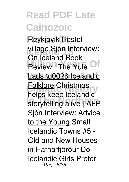**Floras Of** Reykjavik Hostel village *Sjón* Interview: **Review | The Yule Of** Lads \u0026 Icelandic **Climate History** Folklore *Christmas* **In The Northern** *storytelling alive | AFP On Iceland* Book *helps keep Icelandic* Sjón Interview: Advice to the Young *Small Icelandic Towns #5 - Old and New Houses in Hafnarfjörður Do Icelandic Girls Prefer* Page 6/38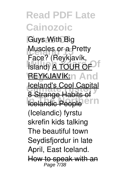**Floras Of** *Guys With Big* **Ideal**<br> **Iceae**<br> *<u>Case</u>***</u><br>
<b>***Case Million A TOUR OF* **REYKJAVIK:n And Iceland's Cool Capital Icelandic People <sup>e</sup>M** *Face? (Reykjavík,* 8 Strange Habits of *(Icelandic) fyrstu skrefin kids talking The beautiful town Seydisfjordur in late April, East Iceland.*

How to speak with an Page 7/38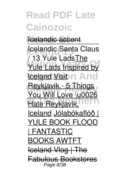#### **Foelandic accent**

**Icelandic Santa Claus** Yule Lads Inspired by **Veland Visit n And Reykjavik - 5 Things**<br>New Will Lave No. 2022 **Hate Reykjavik, PTN** / 13 Yule LadsThe You Will Love \u0026 Iceland Jólabókaflóð | YULE BOOK FLOOD **FANTASTIC** BOOKS AWTFT  $I$ celand Vlog  $\Box$ Fabulous Bookstores Page 8/38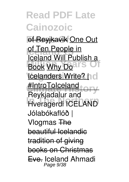**ef Reyjkavik One Out Iceland 15** of Ten People in **Book Why Doars Of Icelanders Write?** In c #IntroToIceland<sub>tory</sub> **In The Northern** Hveragerdi ICELAND Iceland Will Publish a Reykjadalur and *Jólabókaflóð | Vlogmas* The beautiful Icelandic tradition of giving books on Christmas Eve. *Iceland Ahmadi* Page 9/38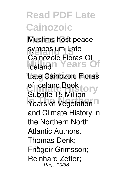**Muslims host peace Iceland 15**<br>Coinceala Flate **Million Years Of Late Cainozoic Floras** of Iceland Book to ry **Years of Vegetation Cainozoic Floras Of** Subtitle 15 Million and Climate History in the Northern North Atlantic Authors. Thomas Denk; Friðgeir Grimsson; Reinhard Zetter; Page 10/38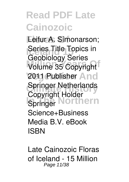Eeifur A. Símonarson; **Iceland Topics in**<br>Conhigleau Cerica Volume 35 Copyright 2011 Publisher And **Springer Netherlands In Springer Northern** Geobiology Series Copyright Holder Science+Business Media B.V. eBook ISBN

**Late Cainozoic Floras of Iceland - 15 Million** Page 11/38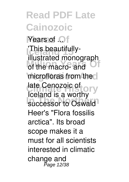**Years of ... This beautifully-**<br>illustrated mana **Million Years Of** of the macro- and microfloras from the late Cenozoic of **ory** successor to Oswald illustrated monograph Iceland is a worthy Heer's "Flora fossilis arctica". Its broad scope makes it a must for all scientists interested in climatic change and Page 12/38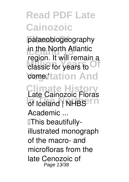palaeobiogeography **In the North Atlantic**<br> **If you're a limit among Million** Classic for years to Off cometation And **Climate History In The United States** region. It will remain a **Late Cainozoic Floras Academic ...** 'This beautifullyillustrated monograph of the macro- and microfloras from the late Cenozoic of Page 13/38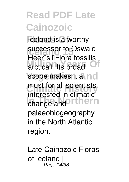**Iceland is a worthy Increaser to Oswald Million Years Of** scope makes it a nd must for all scientists **Indianal Change and Orthern** Heer<sup>ns</sup> **Flora** fossilis interested in climatic palaeobiogeography in the North Atlantic region.

**Late Cainozoic Floras of Iceland |** Page 14/38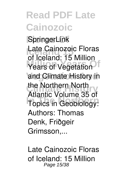**Floras Of SpringerLink** Late Cainozoic Floras **Million Years Of** Years of Vegetation and Climate History in the Northern North **In Topics in Geobiology:** of Iceland: 15 Million Atlantic Volume 35 of Authors: Thomas Denk, Friðgeir Grimsson,...

**Late Cainozoic Floras of Iceland: 15 Million** Page 15/38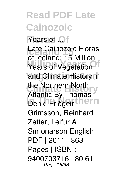**Years of ...** Late Cainozoic Floras **Million Years Of** Years of Vegetation and Climate History in the Northern North Denk, Friðgeir thern of Iceland: 15 Million Atlantic By Thomas Grimsson, Reinhard Zetter, Leifur A. Símonarson English | PDF | 2011 | 863 Pages | ISBN : 9400703716 | 80.61 Page 16/38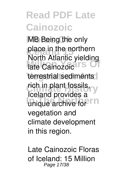**MB** Being the only place in the northern<br>Narth Atlantia vialdin **Mail Andree Stranger** terrestrial sediments rich in plant fossils, y **In The Indian Provided** North Atlantic yielding Iceland provides a vegetation and climate development in this region.

**Late Cainozoic Floras of Iceland: 15 Million** Page 17/38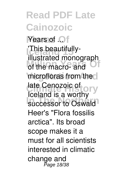**Years of ... This beautifully-**<br>illustrated mana **Million Years Of** of the macro- and microfloras from the late Cenozoic of **ory** successor to Oswald illustrated monograph Iceland is a worthy Heer's "Flora fossilis arctica". Its broad scope makes it a must for all scientists interested in climatic change and .<br>Page 18/38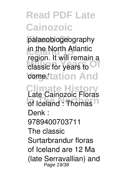palaeobiogeography **In the North Atlantic**<br> **If you're a limit among Million** Classic for years to Off cometation And **Climate History In The Northern of Iceland : Thomas** region. It will remain a **Late Cainozoic Floras Denk : 9789400703711** The classic Surtarbrandur floras of Iceland are 12 Ma (late Serravallian) and Page 19/38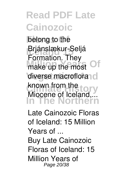belong to the **Brjánslækur-Seljá** make up the most Of diverse macroflora<sup>d</sup> Khown from the **Lory In The Northern** Formation. They known from the Miocene of Iceland,...

**Late Cainozoic Floras of Iceland: 15 Million Years of ...**

Buy Late Cainozoic Floras of Iceland: 15 Million Years of Page 20/38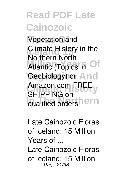**Floras Of** Vegetation and **Climate History in the** Atlantic (Topics in Of Geobiology) on And **Climate History** Amazon.com FREE qualified ordershern Northern North SHIPPING on

**Late Cainozoic Floras of Iceland: 15 Million Years of ...** Late Cainozoic Floras of Iceland: 15 Million Page 21/38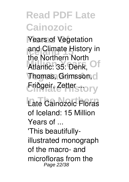**Years of Vegetation** and Climate History in Atlantic: 35: Denk, Of **Thomas, Grimsson, cl** Friðgeir, Zetter ... tor y the Northern North

Late Cainozoic Floras **of Iceland: 15 Million Years of ...**

'This beautifullyillustrated monograph of the macro- and microfloras from the Page 22/38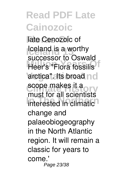**Floras Of** late Cenozoic of **Iceland is a worthy Heer's "Flora fossilis"** arctica". Its broad no scope makes it a **Interested in climatic** successor to Oswald must for all scientists change and palaeobiogeography in the North Atlantic region. It will remain a classic for years to come.' Page 23/38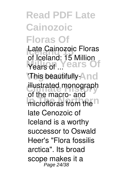### **Read PDF Late Cainozoic Floras Of**

**Late Cainozoic Floras** Years Of ...<sup>.</sup> **Pears** Of **of Iceland: 15 Million**

'This beautifully-And illustrated monograph microfloras from the of the macro- and late Cenozoic of Iceland is a worthy successor to Oswald Heer's "Flora fossilis arctica". Its broad scope makes it a Page 24/38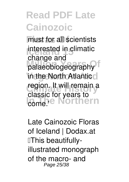**Finust for all scientists Interested in climatic** palaeobiogeography in the North Atlantic<sup>ol</sup> region. It will remain a **Come.'e Northern** change and classic for years to

**Late Cainozoic Floras of Iceland | Dodax.at** 'This beautifullyillustrated monograph of the macro- and Page 25/38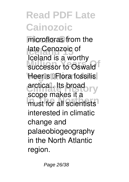microfloras from the **Iceland 15** late Cenozoic of successor to Oswald Heer<sup>ns</sup> <sup>IFlora</sup> fossilis arctica<sup>n</sup>. Its broad<br> **arctical In The Indian Scientists** Iceland is a worthy scope makes it a interested in climatic change and palaeobiogeography in the North Atlantic region.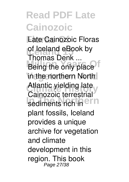**Floras Of Late Cainozoic Floras of Iceland eBook by**<br>Themas Depl **Million Being**<br>Being the only place in the northern North Atlantic yielding late sediments rich in <sup>ern</sup> **Thomas Denk ...** Cainozoic terrestrial plant fossils, Iceland provides a unique archive for vegetation and climate development in this region. This book Page 27/38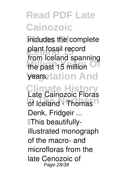includes the complete plant fossil record **Million Years Of** the past 15 million **yearsetation And Climate History In The Incient** California Contract Contract Contract Contract Contract Contract Contract Contract Contract Contract Contract Contract Contract Contract Contract Contract Contract Contract Contract Contract Contract Contr from Iceland spanning **Late Cainozoic Floras Denk, Fridgeir ...** 'This beautifullyillustrated monograph of the macro- and microfloras from the late Cenozoic of Page 28/38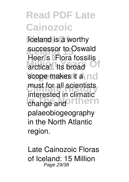**Iceland is a worthy Increaser to Oswald Million Years Of** scope makes it a nd must for all scientists **Indianal Change and Orthern** Heer<sup>ns</sup> **Flora** fossilis interested in climatic palaeobiogeography in the North Atlantic region.

**Late Cainozoic Floras of Iceland: 15 Million** Page 29/38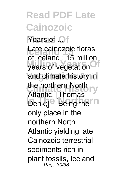**Years of ...** Late cainozoic floras years of vegetation<sup>Of</sup> and climate history in the northern North ry Denk;] <sup>e</sup>- Being the<sup>rm</sup> of Iceland : 15 million Atlantic. [Thomas only place in the northern North Atlantic yielding late Cainozoic terrestrial sediments rich in plant fossils, Iceland Page 30/38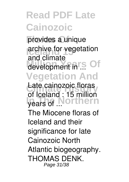provides a unique **Increase 15**<br>and elimete development in ... Of **Vegetation And** Late cainozoic floras **Vears of Northern** and climate **of Iceland : 15 million** The Miocene floras of Iceland and their significance for late Cainozoic North Atlantic biogeography. THOMAS DENK. Page 31/38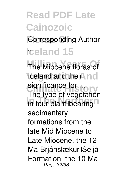#### **Corresponding Author**

#### **Iceland 15** ...

**The Miocene floras of Iceland and their nd Climate History significance for ... In four plant** bearing The type of vegetation sedimentary formations from the late Mid Miocene to Late Miocene, the 12 Ma Brjánslækur<sup>n</sup>Seljá Formation, the 10 Ma Page 32/38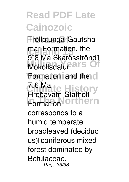**Fröllatunga**lGautsha mar Formation, the Mókollsdalu**Pars** Of **Formation, and the cl Climate History Formation, Orthern**  $9$   $8$  Ma Skarðsströnd $1$ 7–6 Ma Hreðavatn□Stafholt corresponds to a humid temperate broadleaved (deciduo us)<sup>[</sup>coniferous mixed forest dominated by Betulaceae, Page 33/38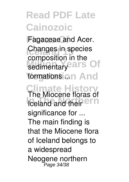Fagaceae and Acer. **Changes in species** sedimentary **Paris** Of formationsion And **Climate History Inchingent Referred** composition in the **The Miocene floras of significance for ...** The main finding is that the Miocene flora of Iceland belongs to a widespread

Neogene northern **P**age 34/38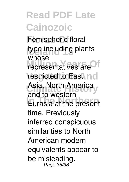**hemispheric** floral type including plants **Million** *representatives* are<sup>Of</sup> restricted to East Asia, North America **In The Northern** Eurasia at the present whose and to western time. Previously inferred conspicuous similarities to North American modern equivalents appear to be misleading. Page 35/38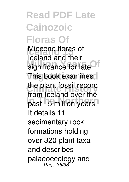#### **Read PDF Late Cainozoic Floras Of Miocene floras of** significance for late ... **This book examines** the plant fossil record **In The Northern** past 15 million years. **Iceland and their** from Iceland over the It details 11 sedimentary rock formations holding over 320 plant taxa and describes palaeoecology and Page 36/38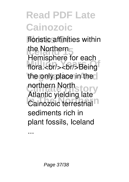floristic affinities within the Northern<br>Liamienhous to million Changes of State Principles of State Principles State Principles State Principles State Principles State Principles State Principles State Principles State Principles State Principles State Principles State Princip the only place in the **Continuer History** *Cainozoic terrestrial* Hemisphere for each northern North Atlantic yielding late sediments rich in plant fossils, Iceland

...